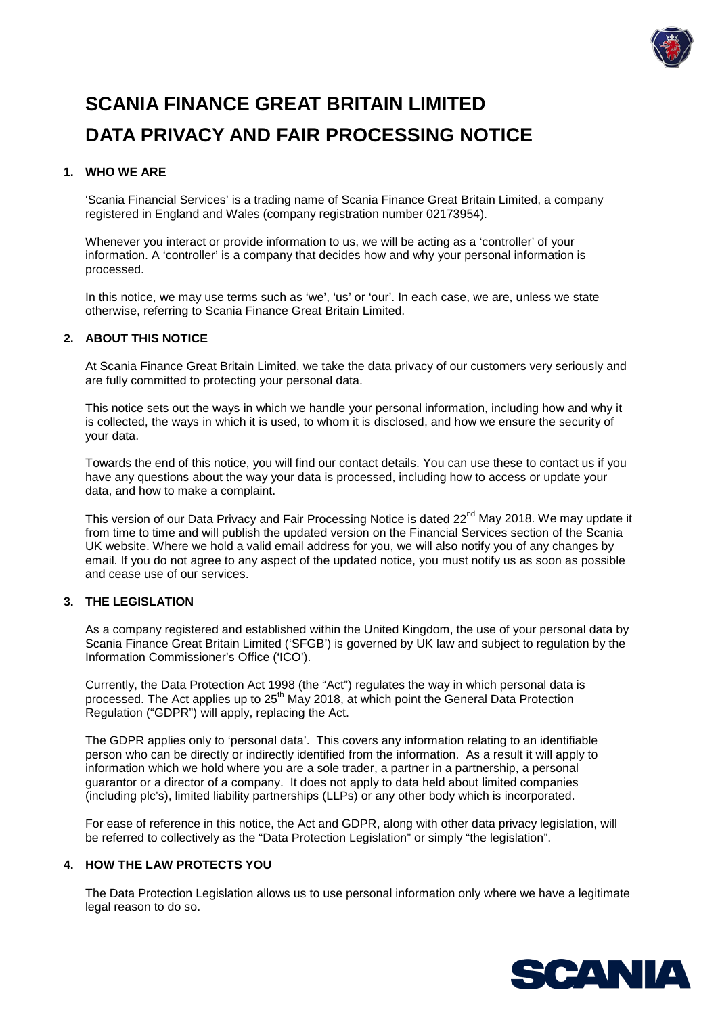

# **SCANIA FINANCE GREAT BRITAIN LIMITED DATA PRIVACY AND FAIR PROCESSING NOTICE**

# **1. WHO WE ARE**

'Scania Financial Services' is a trading name of Scania Finance Great Britain Limited, a company registered in England and Wales (company registration number 02173954).

Whenever you interact or provide information to us, we will be acting as a 'controller' of your information. A 'controller' is a company that decides how and why your personal information is processed.

In this notice, we may use terms such as 'we', 'us' or 'our'. In each case, we are, unless we state otherwise, referring to Scania Finance Great Britain Limited.

## **2. ABOUT THIS NOTICE**

At Scania Finance Great Britain Limited, we take the data privacy of our customers very seriously and are fully committed to protecting your personal data.

This notice sets out the ways in which we handle your personal information, including how and why it is collected, the ways in which it is used, to whom it is disclosed, and how we ensure the security of your data.

Towards the end of this notice, you will find our contact details. You can use these to contact us if you have any questions about the way your data is processed, including how to access or update your data, and how to make a complaint.

This version of our Data Privacy and Fair Processing Notice is dated 22<sup>nd</sup> May 2018. We may update it from time to time and will publish the updated version on the Financial Services section of the Scania UK website. Where we hold a valid email address for you, we will also notify you of any changes by email. If you do not agree to any aspect of the updated notice, you must notify us as soon as possible and cease use of our services.

## **3. THE LEGISLATION**

As a company registered and established within the United Kingdom, the use of your personal data by Scania Finance Great Britain Limited ('SFGB') is governed by UK law and subject to regulation by the Information Commissioner's Office ('ICO').

Currently, the Data Protection Act 1998 (the "Act") regulates the way in which personal data is processed. The Act applies up to 25<sup>th</sup> May 2018, at which point the General Data Protection Regulation ("GDPR") will apply, replacing the Act.

The GDPR applies only to 'personal data'. This covers any information relating to an identifiable person who can be directly or indirectly identified from the information. As a result it will apply to information which we hold where you are a sole trader, a partner in a partnership, a personal guarantor or a director of a company. It does not apply to data held about limited companies (including plc's), limited liability partnerships (LLPs) or any other body which is incorporated.

For ease of reference in this notice, the Act and GDPR, along with other data privacy legislation, will be referred to collectively as the "Data Protection Legislation" or simply "the legislation".

# **4. HOW THE LAW PROTECTS YOU**

The Data Protection Legislation allows us to use personal information only where we have a legitimate legal reason to do so.

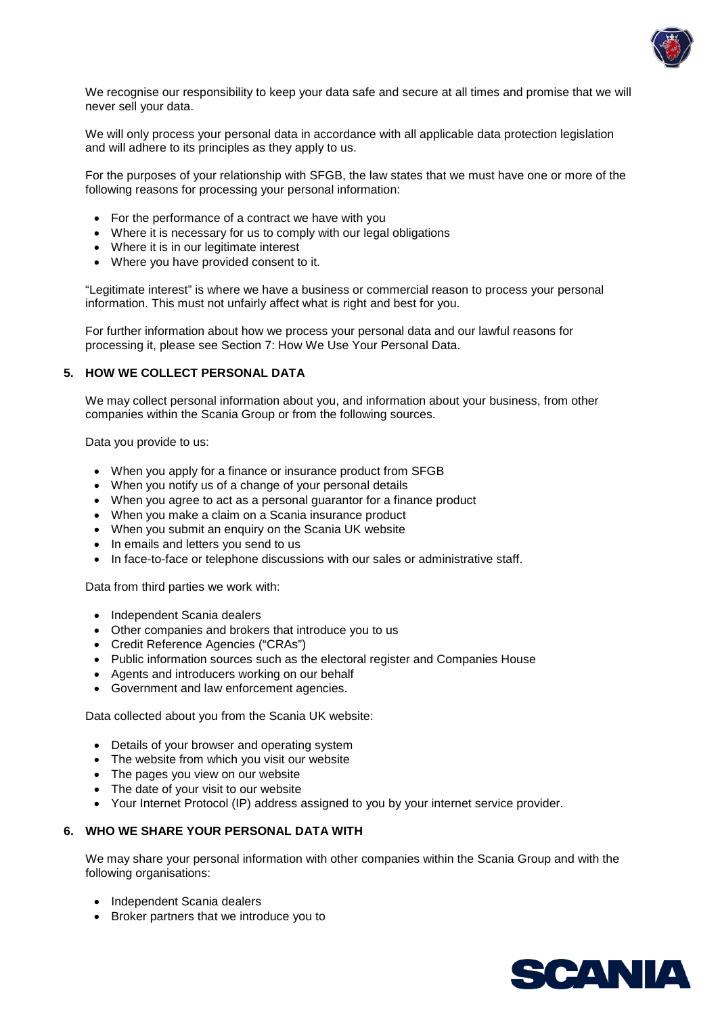

We recognise our responsibility to keep your data safe and secure at all times and promise that we will never sell your data.

We will only process your personal data in accordance with all applicable data protection legislation and will adhere to its principles as they apply to us.

For the purposes of your relationship with SFGB, the law states that we must have one or more of the following reasons for processing your personal information:

- For the performance of a contract we have with you
- Where it is necessary for us to comply with our legal obligations
- Where it is in our legitimate interest
- Where you have provided consent to it.

"Legitimate interest" is where we have a business or commercial reason to process your personal information. This must not unfairly affect what is right and best for you.

For further information about how we process your personal data and our lawful reasons for processing it, please see Section 7: How We Use Your Personal Data.

## **5. HOW WE COLLECT PERSONAL DATA**

We may collect personal information about you, and information about your business, from other companies within the Scania Group or from the following sources.

Data you provide to us:

- When you apply for a finance or insurance product from SFGB
- When you notify us of a change of your personal details
- When you agree to act as a personal guarantor for a finance product
- When you make a claim on a Scania insurance product
- When you submit an enquiry on the Scania UK website
- In emails and letters you send to us
- In face-to-face or telephone discussions with our sales or administrative staff.

Data from third parties we work with:

- Independent Scania dealers
- Other companies and brokers that introduce you to us
- Credit Reference Agencies ("CRAs")
- Public information sources such as the electoral register and Companies House
- Agents and introducers working on our behalf
- Government and law enforcement agencies.

Data collected about you from the Scania UK website:

- Details of your browser and operating system
- The website from which you visit our website
- The pages you view on our website
- The date of your visit to our website
- Your Internet Protocol (IP) address assigned to you by your internet service provider.

## **6. WHO WE SHARE YOUR PERSONAL DATA WITH**

We may share your personal information with other companies within the Scania Group and with the following organisations:

- Independent Scania dealers
- Broker partners that we introduce you to

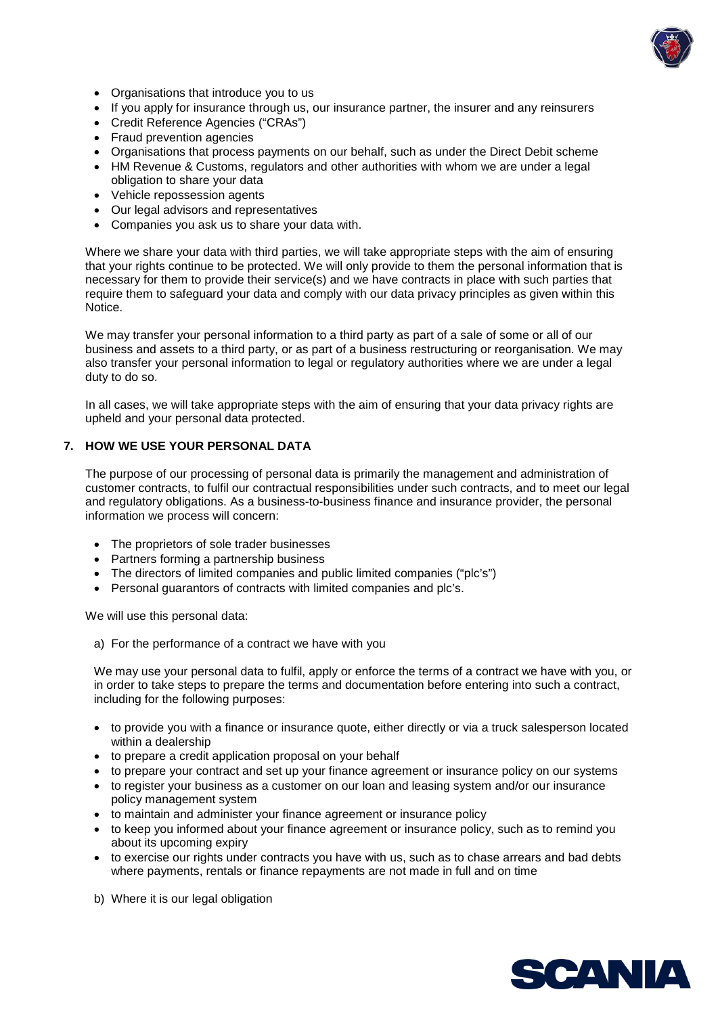

- Organisations that introduce you to us
- If you apply for insurance through us, our insurance partner, the insurer and any reinsurers
- Credit Reference Agencies ("CRAs")
- Fraud prevention agencies
- Organisations that process payments on our behalf, such as under the Direct Debit scheme
- HM Revenue & Customs, regulators and other authorities with whom we are under a legal obligation to share your data
- Vehicle repossession agents
- Our legal advisors and representatives
- Companies you ask us to share your data with.

Where we share your data with third parties, we will take appropriate steps with the aim of ensuring that your rights continue to be protected. We will only provide to them the personal information that is necessary for them to provide their service(s) and we have contracts in place with such parties that require them to safeguard your data and comply with our data privacy principles as given within this Notice.

We may transfer your personal information to a third party as part of a sale of some or all of our business and assets to a third party, or as part of a business restructuring or reorganisation. We may also transfer your personal information to legal or regulatory authorities where we are under a legal duty to do so.

In all cases, we will take appropriate steps with the aim of ensuring that your data privacy rights are upheld and your personal data protected.

## **7. HOW WE USE YOUR PERSONAL DATA**

The purpose of our processing of personal data is primarily the management and administration of customer contracts, to fulfil our contractual responsibilities under such contracts, and to meet our legal and regulatory obligations. As a business-to-business finance and insurance provider, the personal information we process will concern:

- The proprietors of sole trader businesses
- Partners forming a partnership business
- The directors of limited companies and public limited companies ("plc's")
- Personal guarantors of contracts with limited companies and plc's.

We will use this personal data:

a) For the performance of a contract we have with you

We may use your personal data to fulfil, apply or enforce the terms of a contract we have with you, or in order to take steps to prepare the terms and documentation before entering into such a contract, including for the following purposes:

- to provide you with a finance or insurance quote, either directly or via a truck salesperson located within a dealership
- to prepare a credit application proposal on your behalf
- to prepare your contract and set up your finance agreement or insurance policy on our systems
- to register your business as a customer on our loan and leasing system and/or our insurance policy management system
- to maintain and administer your finance agreement or insurance policy
- to keep you informed about your finance agreement or insurance policy, such as to remind you about its upcoming expiry
- to exercise our rights under contracts you have with us, such as to chase arrears and bad debts where payments, rentals or finance repayments are not made in full and on time
- b) Where it is our legal obligation

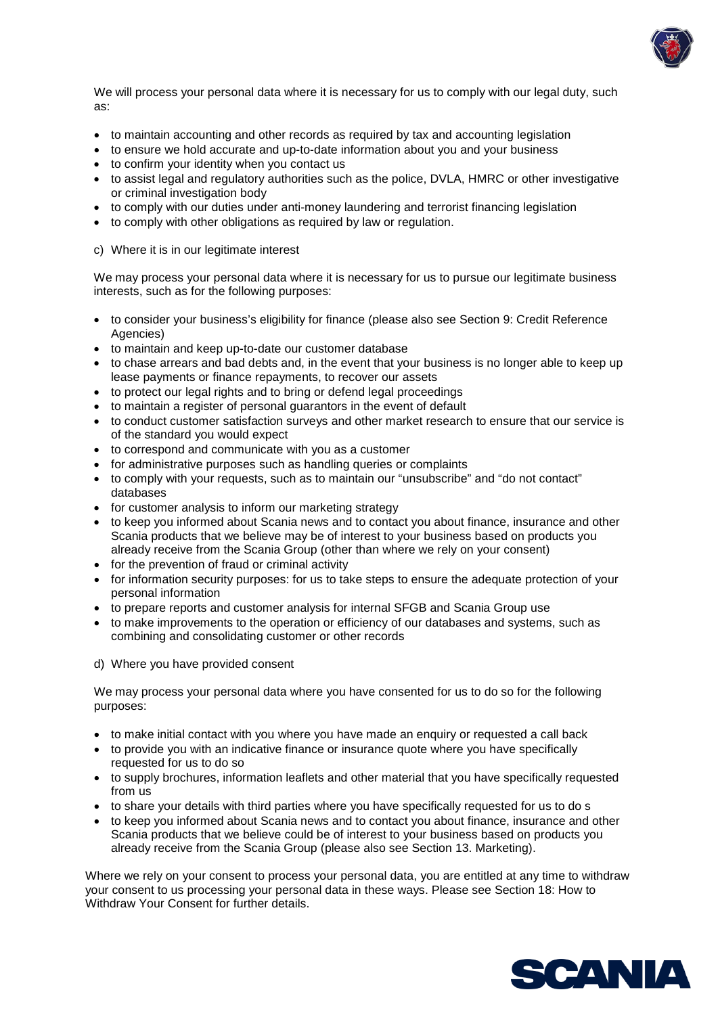

We will process your personal data where it is necessary for us to comply with our legal duty, such as:

- to maintain accounting and other records as required by tax and accounting legislation
- to ensure we hold accurate and up-to-date information about you and your business
- to confirm your identity when you contact us
- to assist legal and regulatory authorities such as the police, DVLA, HMRC or other investigative or criminal investigation body
- to comply with our duties under anti-money laundering and terrorist financing legislation
- to comply with other obligations as required by law or regulation.
- c) Where it is in our legitimate interest

We may process your personal data where it is necessary for us to pursue our legitimate business interests, such as for the following purposes:

- to consider your business's eligibility for finance (please also see Section 9: Credit Reference Agencies)
- to maintain and keep up-to-date our customer database
- to chase arrears and bad debts and, in the event that your business is no longer able to keep up lease payments or finance repayments, to recover our assets
- to protect our legal rights and to bring or defend legal proceedings
- to maintain a register of personal guarantors in the event of default
- to conduct customer satisfaction surveys and other market research to ensure that our service is of the standard you would expect
- to correspond and communicate with you as a customer
- for administrative purposes such as handling queries or complaints
- to comply with your requests, such as to maintain our "unsubscribe" and "do not contact" databases
- for customer analysis to inform our marketing strategy
- to keep you informed about Scania news and to contact you about finance, insurance and other Scania products that we believe may be of interest to your business based on products you already receive from the Scania Group (other than where we rely on your consent)
- for the prevention of fraud or criminal activity
- for information security purposes: for us to take steps to ensure the adequate protection of your personal information
- to prepare reports and customer analysis for internal SFGB and Scania Group use
- to make improvements to the operation or efficiency of our databases and systems, such as combining and consolidating customer or other records
- d) Where you have provided consent

We may process your personal data where you have consented for us to do so for the following purposes:

- to make initial contact with you where you have made an enquiry or requested a call back
- to provide you with an indicative finance or insurance quote where you have specifically requested for us to do so
- to supply brochures, information leaflets and other material that you have specifically requested from us
- to share your details with third parties where you have specifically requested for us to do s
- to keep you informed about Scania news and to contact you about finance, insurance and other Scania products that we believe could be of interest to your business based on products you already receive from the Scania Group (please also see Section 13. Marketing).

Where we rely on your consent to process your personal data, you are entitled at any time to withdraw your consent to us processing your personal data in these ways. Please see Section 18: How to Withdraw Your Consent for further details.

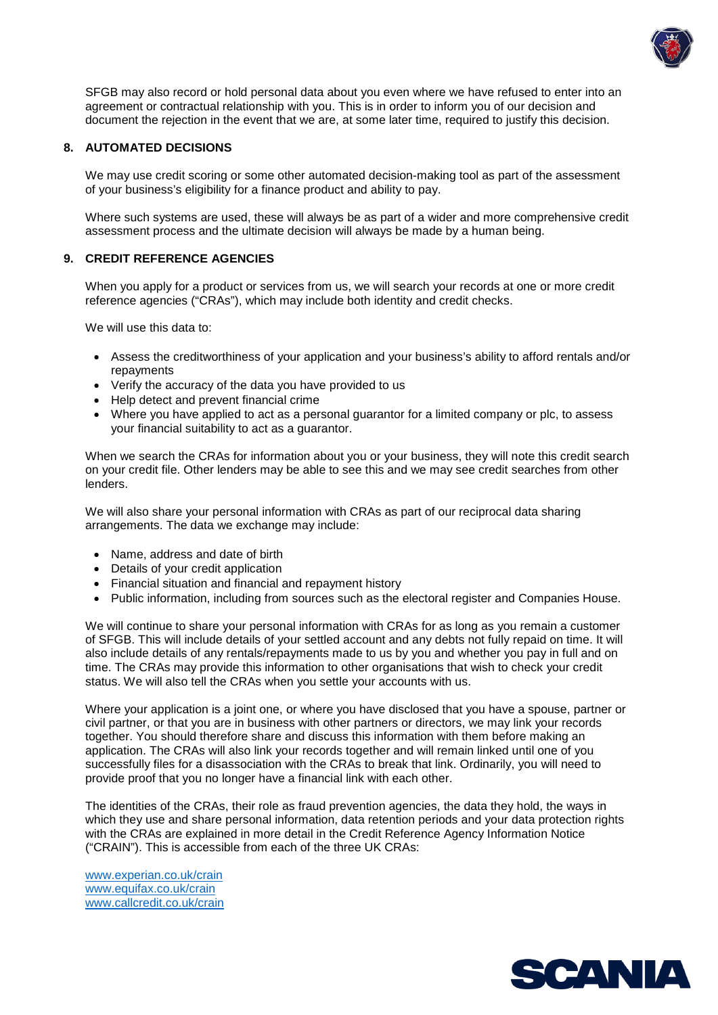

SFGB may also record or hold personal data about you even where we have refused to enter into an agreement or contractual relationship with you. This is in order to inform you of our decision and document the rejection in the event that we are, at some later time, required to justify this decision.

## **8. AUTOMATED DECISIONS**

We may use credit scoring or some other automated decision-making tool as part of the assessment of your business's eligibility for a finance product and ability to pay.

Where such systems are used, these will always be as part of a wider and more comprehensive credit assessment process and the ultimate decision will always be made by a human being.

# **9. CREDIT REFERENCE AGENCIES**

When you apply for a product or services from us, we will search your records at one or more credit reference agencies ("CRAs"), which may include both identity and credit checks.

We will use this data to:

- Assess the creditworthiness of your application and your business's ability to afford rentals and/or repayments
- Verify the accuracy of the data you have provided to us
- Help detect and prevent financial crime
- Where you have applied to act as a personal guarantor for a limited company or plc, to assess your financial suitability to act as a guarantor.

When we search the CRAs for information about you or your business, they will note this credit search on your credit file. Other lenders may be able to see this and we may see credit searches from other lenders.

We will also share your personal information with CRAs as part of our reciprocal data sharing arrangements. The data we exchange may include:

- Name, address and date of birth
- Details of your credit application
- Financial situation and financial and repayment history
- Public information, including from sources such as the electoral register and Companies House.

We will continue to share your personal information with CRAs for as long as you remain a customer of SFGB. This will include details of your settled account and any debts not fully repaid on time. It will also include details of any rentals/repayments made to us by you and whether you pay in full and on time. The CRAs may provide this information to other organisations that wish to check your credit status. We will also tell the CRAs when you settle your accounts with us.

Where your application is a joint one, or where you have disclosed that you have a spouse, partner or civil partner, or that you are in business with other partners or directors, we may link your records together. You should therefore share and discuss this information with them before making an application. The CRAs will also link your records together and will remain linked until one of you successfully files for a disassociation with the CRAs to break that link. Ordinarily, you will need to provide proof that you no longer have a financial link with each other.

The identities of the CRAs, their role as fraud prevention agencies, the data they hold, the ways in which they use and share personal information, data retention periods and your data protection rights with the CRAs are explained in more detail in the Credit Reference Agency Information Notice ("CRAIN"). This is accessible from each of the three UK CRAs:

www.experian.co.uk/crain www.equifax.co.uk/crain www.callcredit.co.uk/crain

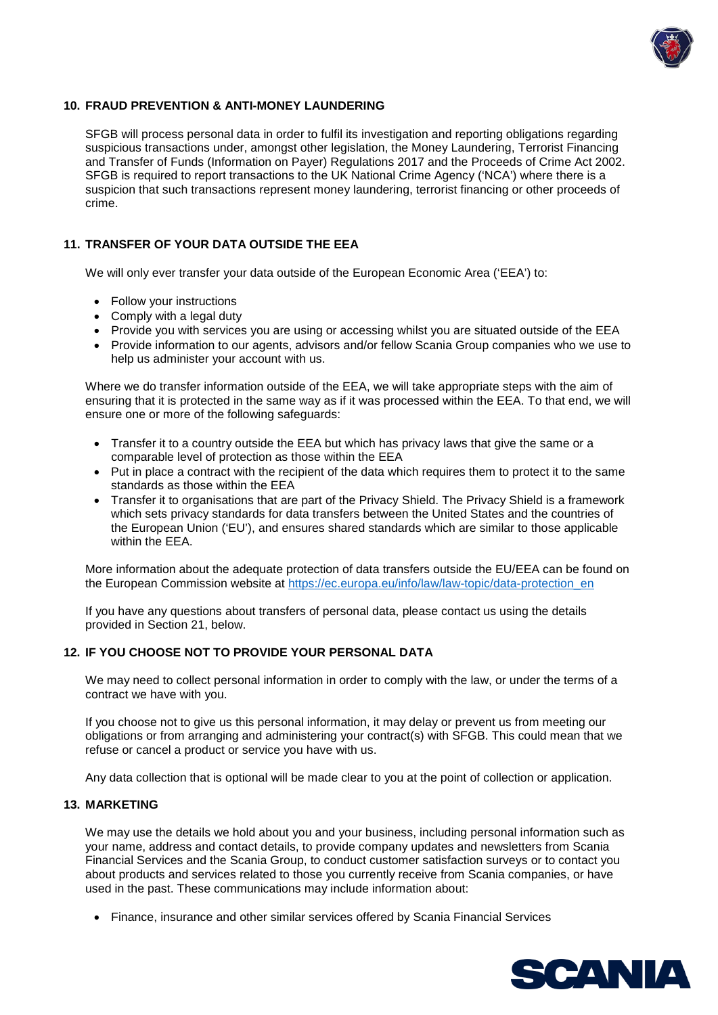

## **10. FRAUD PREVENTION & ANTI-MONEY LAUNDERING**

SFGB will process personal data in order to fulfil its investigation and reporting obligations regarding suspicious transactions under, amongst other legislation, the Money Laundering, Terrorist Financing and Transfer of Funds (Information on Payer) Regulations 2017 and the Proceeds of Crime Act 2002. SFGB is required to report transactions to the UK National Crime Agency ('NCA') where there is a suspicion that such transactions represent money laundering, terrorist financing or other proceeds of crime.

## **11. TRANSFER OF YOUR DATA OUTSIDE THE EEA**

We will only ever transfer your data outside of the European Economic Area ('EEA') to:

- Follow your instructions
- Comply with a legal duty
- Provide you with services you are using or accessing whilst you are situated outside of the EEA
- Provide information to our agents, advisors and/or fellow Scania Group companies who we use to help us administer your account with us.

Where we do transfer information outside of the EEA, we will take appropriate steps with the aim of ensuring that it is protected in the same way as if it was processed within the EEA. To that end, we will ensure one or more of the following safeguards:

- Transfer it to a country outside the EEA but which has privacy laws that give the same or a comparable level of protection as those within the EEA
- Put in place a contract with the recipient of the data which requires them to protect it to the same standards as those within the EEA
- Transfer it to organisations that are part of the Privacy Shield. The Privacy Shield is a framework which sets privacy standards for data transfers between the United States and the countries of the European Union ('EU'), and ensures shared standards which are similar to those applicable within the EEA.

More information about the adequate protection of data transfers outside the EU/EEA can be found on the European Commission website at https://ec.europa.eu/info/law/law-topic/data-protection\_en

If you have any questions about transfers of personal data, please contact us using the details provided in Section 21, below.

#### **12. IF YOU CHOOSE NOT TO PROVIDE YOUR PERSONAL DATA**

We may need to collect personal information in order to comply with the law, or under the terms of a contract we have with you.

If you choose not to give us this personal information, it may delay or prevent us from meeting our obligations or from arranging and administering your contract(s) with SFGB. This could mean that we refuse or cancel a product or service you have with us.

Any data collection that is optional will be made clear to you at the point of collection or application.

#### **13. MARKETING**

We may use the details we hold about you and your business, including personal information such as your name, address and contact details, to provide company updates and newsletters from Scania Financial Services and the Scania Group, to conduct customer satisfaction surveys or to contact you about products and services related to those you currently receive from Scania companies, or have used in the past. These communications may include information about:

• Finance, insurance and other similar services offered by Scania Financial Services

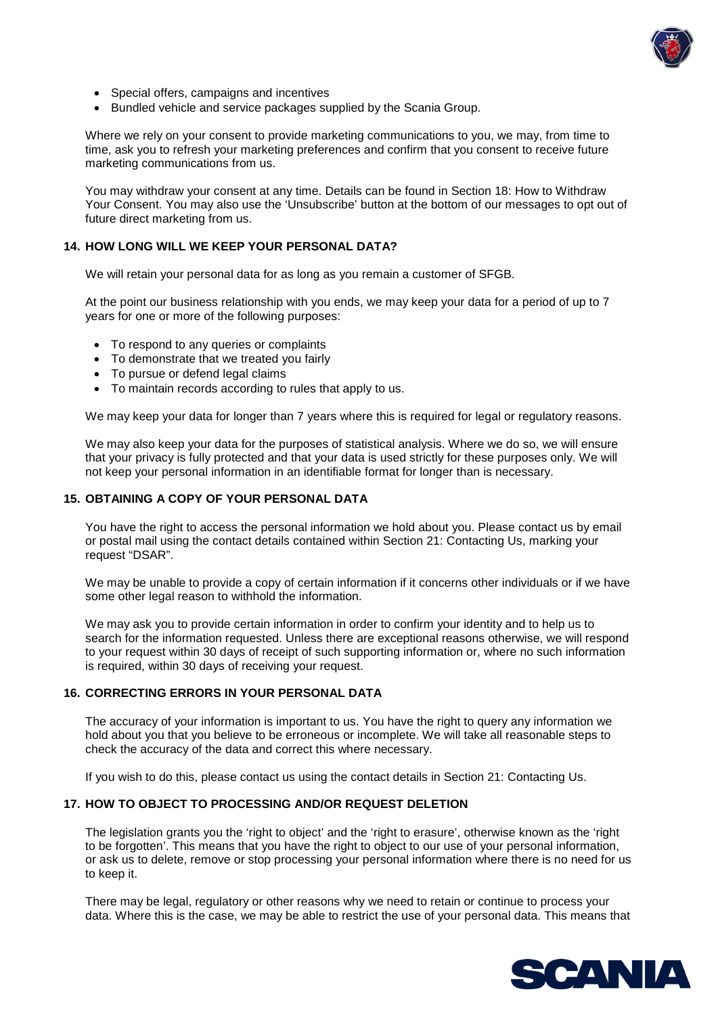

- Special offers, campaigns and incentives
- Bundled vehicle and service packages supplied by the Scania Group.

Where we rely on your consent to provide marketing communications to you, we may, from time to time, ask you to refresh your marketing preferences and confirm that you consent to receive future marketing communications from us.

You may withdraw your consent at any time. Details can be found in Section 18: How to Withdraw Your Consent. You may also use the 'Unsubscribe' button at the bottom of our messages to opt out of future direct marketing from us.

# **14. HOW LONG WILL WE KEEP YOUR PERSONAL DATA?**

We will retain your personal data for as long as you remain a customer of SFGB.

At the point our business relationship with you ends, we may keep your data for a period of up to 7 years for one or more of the following purposes:

- To respond to any queries or complaints
- To demonstrate that we treated you fairly
- To pursue or defend legal claims
- To maintain records according to rules that apply to us.

We may keep your data for longer than 7 years where this is required for legal or regulatory reasons.

We may also keep your data for the purposes of statistical analysis. Where we do so, we will ensure that your privacy is fully protected and that your data is used strictly for these purposes only. We will not keep your personal information in an identifiable format for longer than is necessary.

## **15. OBTAINING A COPY OF YOUR PERSONAL DATA**

You have the right to access the personal information we hold about you. Please contact us by email or postal mail using the contact details contained within Section 21: Contacting Us, marking your request "DSAR".

We may be unable to provide a copy of certain information if it concerns other individuals or if we have some other legal reason to withhold the information.

We may ask you to provide certain information in order to confirm your identity and to help us to search for the information requested. Unless there are exceptional reasons otherwise, we will respond to your request within 30 days of receipt of such supporting information or, where no such information is required, within 30 days of receiving your request.

#### **16. CORRECTING ERRORS IN YOUR PERSONAL DATA**

The accuracy of your information is important to us. You have the right to query any information we hold about you that you believe to be erroneous or incomplete. We will take all reasonable steps to check the accuracy of the data and correct this where necessary.

If you wish to do this, please contact us using the contact details in Section 21: Contacting Us.

#### **17. HOW TO OBJECT TO PROCESSING AND/OR REQUEST DELETION**

The legislation grants you the 'right to object' and the 'right to erasure', otherwise known as the 'right to be forgotten'. This means that you have the right to object to our use of your personal information, or ask us to delete, remove or stop processing your personal information where there is no need for us to keep it.

There may be legal, regulatory or other reasons why we need to retain or continue to process your data. Where this is the case, we may be able to restrict the use of your personal data. This means that